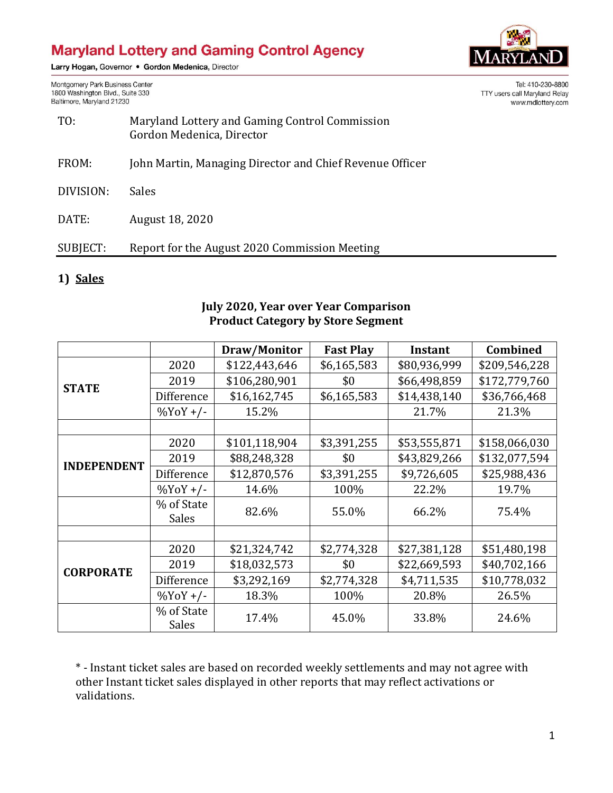# **Maryland Lottery and Gaming Control Agency**

Larry Hogan, Governor . Gordon Medenica, Director



TTY users call Maryland Relay

Tel: 410-230-8800

www.mdlottery.com

Montgomery Park Business Center 1800 Washington Blvd., Suite 330 Baltimore, Maryland 21230

| TO:       | Maryland Lottery and Gaming Control Commission<br>Gordon Medenica, Director |  |  |  |
|-----------|-----------------------------------------------------------------------------|--|--|--|
| FROM:     | John Martin, Managing Director and Chief Revenue Officer                    |  |  |  |
| DIVISION: | <b>Sales</b>                                                                |  |  |  |
| DATE:     | August 18, 2020                                                             |  |  |  |

### SUBJECT: Report for the August 2020 Commission Meeting

#### **1) Sales**

#### **July 2020, Year over Year Comparison Product Category by Store Segment**

|                    |                            | Draw/Monitor  | <b>Fast Play</b> | <b>Instant</b> | Combined      |
|--------------------|----------------------------|---------------|------------------|----------------|---------------|
| <b>STATE</b>       | 2020                       | \$122,443,646 | \$6,165,583      | \$80,936,999   | \$209,546,228 |
|                    | 2019                       | \$106,280,901 | \$0              | \$66,498,859   | \$172,779,760 |
|                    | Difference                 | \$16,162,745  | \$6,165,583      | \$14,438,140   | \$36,766,468  |
|                    | $\%$ YoY +/-               | 15.2%         |                  | 21.7%          | 21.3%         |
|                    |                            |               |                  |                |               |
| <b>INDEPENDENT</b> | 2020                       | \$101,118,904 | \$3,391,255      | \$53,555,871   | \$158,066,030 |
|                    | 2019                       | \$88,248,328  | \$0              | \$43,829,266   | \$132,077,594 |
|                    | Difference                 | \$12,870,576  | \$3,391,255      | \$9,726,605    | \$25,988,436  |
|                    | $\frac{9}{0}$ YoY +/-      | 14.6%         | 100%             | 22.2%          | 19.7%         |
|                    | % of State                 | 82.6%         | 55.0%            | 66.2%          | 75.4%         |
|                    | <b>Sales</b>               |               |                  |                |               |
|                    |                            |               |                  |                |               |
| <b>CORPORATE</b>   | 2020                       | \$21,324,742  | \$2,774,328      | \$27,381,128   | \$51,480,198  |
|                    | 2019                       | \$18,032,573  | \$0              | \$22,669,593   | \$40,702,166  |
|                    | Difference                 | \$3,292,169   | \$2,774,328      | \$4,711,535    | \$10,778,032  |
|                    | $\frac{9}{0}$ YoY +/-      | 18.3%         | 100%             | 20.8%          | 26.5%         |
|                    | % of State<br><b>Sales</b> | 17.4%         | 45.0%            | 33.8%          | 24.6%         |

\* - Instant ticket sales are based on recorded weekly settlements and may not agree with other Instant ticket sales displayed in other reports that may reflect activations or validations.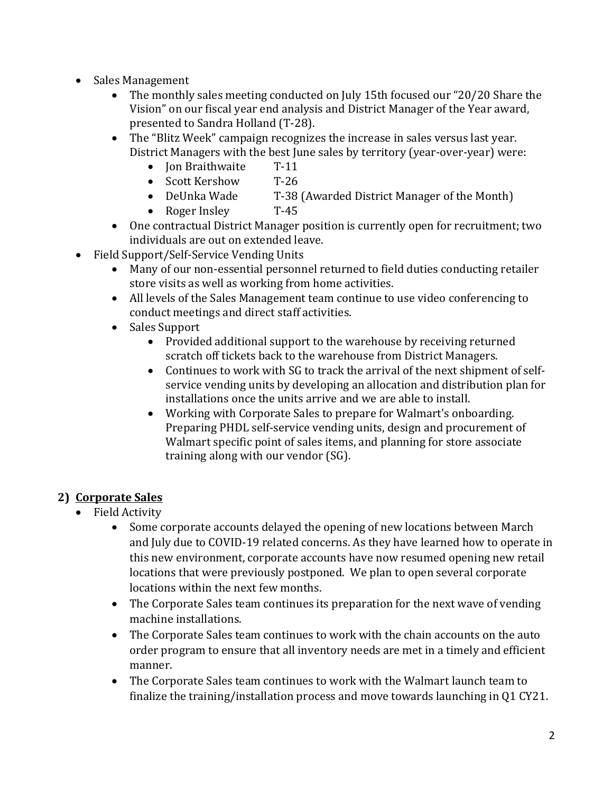- Sales Management
	- The monthly sales meeting conducted on July 15th focused our "20/20 Share the Vision" on our fiscal year end analysis and District Manager of the Year award, presented to Sandra Holland (T-28).
	- The "Blitz Week" campaign recognizes the increase in sales versus last year. District Managers with the best June sales by territory (year-over-year) were:
		- Ion Braithwaite T-11
		- Scott Kershow T-26
		- DeUnka Wade T-38 (Awarded District Manager of the Month)
		- Roger Insley T-45
	- One contractual District Manager position is currently open for recruitment; two individuals are out on extended leave.
- Field Support/Self-Service Vending Units
	- Many of our non-essential personnel returned to field duties conducting retailer store visits as well as working from home activities.
	- All levels of the Sales Management team continue to use video conferencing to conduct meetings and direct staff activities.
	- Sales Support
		- Provided additional support to the warehouse by receiving returned scratch off tickets back to the warehouse from District Managers.
		- Continues to work with SG to track the arrival of the next shipment of selfservice vending units by developing an allocation and distribution plan for installations once the units arrive and we are able to install.
		- Working with Corporate Sales to prepare for Walmart's onboarding. Preparing PHDL self-service vending units, design and procurement of Walmart specific point of sales items, and planning for store associate training along with our vendor (SG).

## **2) Corporate Sales**

- Field Activity
	- Some corporate accounts delayed the opening of new locations between March and July due to COVID-19 related concerns. As they have learned how to operate in this new environment, corporate accounts have now resumed opening new retail locations that were previously postponed. We plan to open several corporate locations within the next few months.
	- The Corporate Sales team continues its preparation for the next wave of vending machine installations.
	- The Corporate Sales team continues to work with the chain accounts on the auto order program to ensure that all inventory needs are met in a timely and efficient manner.
	- The Corporate Sales team continues to work with the Walmart launch team to finalize the training/installation process and move towards launching in Q1 CY21.